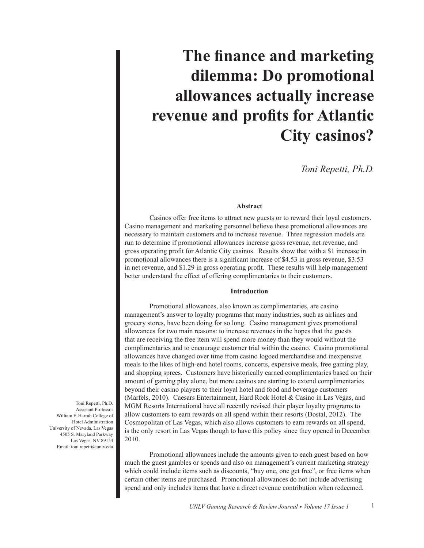# **The finance and marketing dilemma: Do promotional allowances actually increase revenue and profits for Atlantic City casinos?**

*Toni Repetti, Ph.D.*

## **Abstract**

Casinos offer free items to attract new guests or to reward their loyal customers. Casino management and marketing personnel believe these promotional allowances are necessary to maintain customers and to increase revenue. Three regression models are run to determine if promotional allowances increase gross revenue, net revenue, and gross operating profit for Atlantic City casinos. Results show that with a \$1 increase in promotional allowances there is a significant increase of \$4.53 in gross revenue, \$3.53 in net revenue, and \$1.29 in gross operating profit. These results will help management better understand the effect of offering complimentaries to their customers.

#### **Introduction**

Promotional allowances, also known as complimentaries, are casino management's answer to loyalty programs that many industries, such as airlines and grocery stores, have been doing for so long. Casino management gives promotional allowances for two main reasons: to increase revenues in the hopes that the guests that are receiving the free item will spend more money than they would without the complimentaries and to encourage customer trial within the casino. Casino promotional allowances have changed over time from casino logoed merchandise and inexpensive meals to the likes of high-end hotel rooms, concerts, expensive meals, free gaming play, and shopping sprees. Customers have historically earned complimentaries based on their amount of gaming play alone, but more casinos are starting to extend complimentaries beyond their casino players to their loyal hotel and food and beverage customers (Marfels, 2010). Caesars Entertainment, Hard Rock Hotel & Casino in Las Vegas, and MGM Resorts International have all recently revised their player loyalty programs to allow customers to earn rewards on all spend within their resorts (Dostal, 2012). The Cosmopolitan of Las Vegas, which also allows customers to earn rewards on all spend, is the only resort in Las Vegas though to have this policy since they opened in December 2010.

Promotional allowances include the amounts given to each guest based on how much the guest gambles or spends and also on management's current marketing strategy which could include items such as discounts, "buy one, one get free", or free items when certain other items are purchased. Promotional allowances do not include advertising spend and only includes items that have a direct revenue contribution when redeemed.

Toni Repetti, Ph.D. Assistant Professor William F. Harrah College of Hotel Administration University of Nevada, Las Vegas 4505 S. Maryland Parkway Las Vegas, NV 89154 Email: toni.repetti@unlv.edu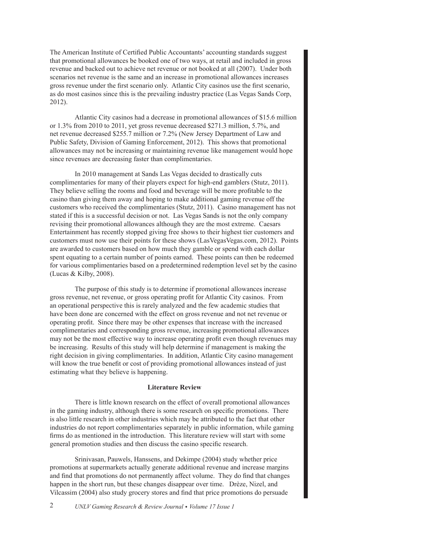The American Institute of Certified Public Accountants' accounting standards suggest that promotional allowances be booked one of two ways, at retail and included in gross revenue and backed out to achieve net revenue or not booked at all (2007). Under both scenarios net revenue is the same and an increase in promotional allowances increases gross revenue under the first scenario only. Atlantic City casinos use the first scenario, as do most casinos since this is the prevailing industry practice (Las Vegas Sands Corp, 2012).

Atlantic City casinos had a decrease in promotional allowances of \$15.6 million or 1.3% from 2010 to 2011, yet gross revenue decreased \$271.3 million, 5.7%, and net revenue decreased \$255.7 million or 7.2% (New Jersey Department of Law and Public Safety, Division of Gaming Enforcement, 2012). This shows that promotional allowances may not be increasing or maintaining revenue like management would hope since revenues are decreasing faster than complimentaries.

In 2010 management at Sands Las Vegas decided to drastically cuts complimentaries for many of their players expect for high-end gamblers (Stutz, 2011). They believe selling the rooms and food and beverage will be more profitable to the casino than giving them away and hoping to make additional gaming revenue off the customers who received the complimentaries (Stutz, 2011). Casino management has not stated if this is a successful decision or not. Las Vegas Sands is not the only company revising their promotional allowances although they are the most extreme. Caesars Entertainment has recently stopped giving free shows to their highest tier customers and customers must now use their points for these shows (LasVegasVegas.com, 2012). Points are awarded to customers based on how much they gamble or spend with each dollar spent equating to a certain number of points earned. These points can then be redeemed for various complimentaries based on a predetermined redemption level set by the casino (Lucas & Kilby, 2008).

The purpose of this study is to determine if promotional allowances increase gross revenue, net revenue, or gross operating profit for Atlantic City casinos. From an operational perspective this is rarely analyzed and the few academic studies that have been done are concerned with the effect on gross revenue and not net revenue or operating profit. Since there may be other expenses that increase with the increased complimentaries and corresponding gross revenue, increasing promotional allowances may not be the most effective way to increase operating profit even though revenues may be increasing. Results of this study will help determine if management is making the right decision in giving complimentaries. In addition, Atlantic City casino management will know the true benefit or cost of providing promotional allowances instead of just estimating what they believe is happening.

## **Literature Review**

There is little known research on the effect of overall promotional allowances in the gaming industry, although there is some research on specific promotions. There is also little research in other industries which may be attributed to the fact that other industries do not report complimentaries separately in public information, while gaming firms do as mentioned in the introduction. This literature review will start with some general promotion studies and then discuss the casino specific research.

Srinivasan, Pauwels, Hanssens, and Dekimpe (2004) study whether price promotions at supermarkets actually generate additional revenue and increase margins and find that promotions do not permanently affect volume. They do find that changes happen in the short run, but these changes disappear over time. Drèze, Nizel, and Vilcassim (2004) also study grocery stores and find that price promotions do persuade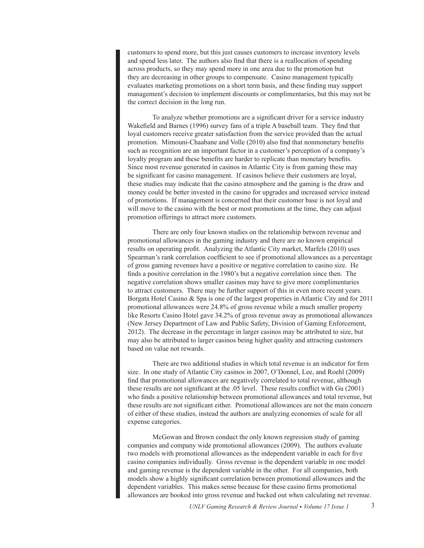customers to spend more, but this just causes customers to increase inventory levels and spend less later. The authors also find that there is a reallocation of spending across products, so they may spend more in one area due to the promotion but they are decreasing in other groups to compensate. Casino management typically evaluates marketing promotions on a short term basis, and these finding may support management's decision to implement discounts or complimentaries, but this may not be the correct decision in the long run.

To analyze whether promotions are a significant driver for a service industry Wakefield and Barnes (1996) survey fans of a triple A baseball team. They find that loyal customers receive greater satisfaction from the service provided than the actual promotion. Mimouni-Chaabane and Volle (2010) also find that nonmonetary benefits such as recognition are an important factor in a customer's perception of a company's loyalty program and these benefits are harder to replicate than monetary benefits. Since most revenue generated in casinos in Atlantic City is from gaming these may be significant for casino management. If casinos believe their customers are loyal, these studies may indicate that the casino atmosphere and the gaming is the draw and money could be better invested in the casino for upgrades and increased service instead of promotions. If management is concerned that their customer base is not loyal and will move to the casino with the best or most promotions at the time, they can adjust promotion offerings to attract more customers.

There are only four known studies on the relationship between revenue and promotional allowances in the gaming industry and there are no known empirical results on operating profit. Analyzing the Atlantic City market, Marfels (2010) uses Spearman's rank correlation coefficient to see if promotional allowances as a percentage of gross gaming revenues have a positive or negative correlation to casino size. He finds a positive correlation in the 1980's but a negative correlation since then. The negative correlation shows smaller casinos may have to give more complimentaries to attract customers. There may be further support of this in even more recent years. Borgata Hotel Casino & Spa is one of the largest properties in Atlantic City and for 2011 promotional allowances were 24.8% of gross revenue while a much smaller property like Resorts Casino Hotel gave 34.2% of gross revenue away as promotional allowances (New Jersey Department of Law and Public Safety, Division of Gaming Enforcement, 2012). The decrease in the percentage in larger casinos may be attributed to size, but may also be attributed to larger casinos being higher quality and attracting customers based on value not rewards.

There are two additional studies in which total revenue is an indicator for firm size. In one study of Atlantic City casinos in 2007, O'Donnel, Lee, and Roehl (2009) find that promotional allowances are negatively correlated to total revenue, although these results are not significant at the .05 level. These results conflict with Gu (2001) who finds a positive relationship between promotional allowances and total revenue, but these results are not significant either. Promotional allowances are not the main concern of either of these studies, instead the authors are analyzing economies of scale for all expense categories.

McGowan and Brown conduct the only known regression study of gaming companies and company wide promotional allowances (2009). The authors evaluate two models with promotional allowances as the independent variable in each for five casino companies individually. Gross revenue is the dependent variable in one model and gaming revenue is the dependent variable in the other. For all companies, both models show a highly significant correlation between promotional allowances and the dependent variables. This makes sense because for these casino firms promotional allowances are booked into gross revenue and backed out when calculating net revenue.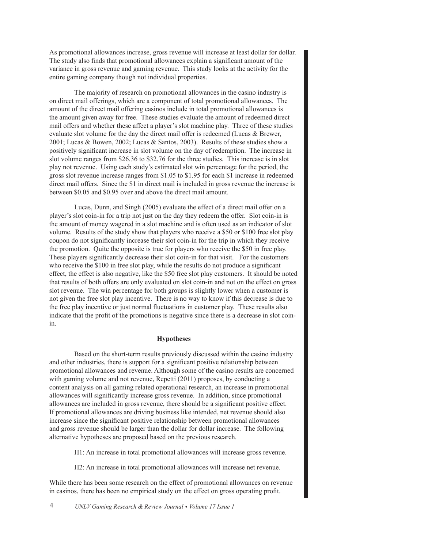As promotional allowances increase, gross revenue will increase at least dollar for dollar. The study also finds that promotional allowances explain a significant amount of the variance in gross revenue and gaming revenue. This study looks at the activity for the entire gaming company though not individual properties.

The majority of research on promotional allowances in the casino industry is on direct mail offerings, which are a component of total promotional allowances. The amount of the direct mail offering casinos include in total promotional allowances is the amount given away for free. These studies evaluate the amount of redeemed direct mail offers and whether these affect a player's slot machine play. Three of these studies evaluate slot volume for the day the direct mail offer is redeemed (Lucas & Brewer, 2001; Lucas & Bowen, 2002; Lucas & Santos, 2003). Results of these studies show a positively significant increase in slot volume on the day of redemption. The increase in slot volume ranges from \$26.36 to \$32.76 for the three studies. This increase is in slot play not revenue. Using each study's estimated slot win percentage for the period, the gross slot revenue increase ranges from \$1.05 to \$1.95 for each \$1 increase in redeemed direct mail offers. Since the \$1 in direct mail is included in gross revenue the increase is between \$0.05 and \$0.95 over and above the direct mail amount.

Lucas, Dunn, and Singh (2005) evaluate the effect of a direct mail offer on a player's slot coin-in for a trip not just on the day they redeem the offer. Slot coin-in is the amount of money wagered in a slot machine and is often used as an indicator of slot volume. Results of the study show that players who receive a \$50 or \$100 free slot play coupon do not significantly increase their slot coin-in for the trip in which they receive the promotion. Quite the opposite is true for players who receive the \$50 in free play. These players significantly decrease their slot coin-in for that visit. For the customers who receive the \$100 in free slot play, while the results do not produce a significant effect, the effect is also negative, like the \$50 free slot play customers. It should be noted that results of both offers are only evaluated on slot coin-in and not on the effect on gross slot revenue. The win percentage for both groups is slightly lower when a customer is not given the free slot play incentive. There is no way to know if this decrease is due to the free play incentive or just normal fluctuations in customer play. These results also indicate that the profit of the promotions is negative since there is a decrease in slot coinin.

## **Hypotheses**

Based on the short-term results previously discussed within the casino industry and other industries, there is support for a significant positive relationship between promotional allowances and revenue. Although some of the casino results are concerned with gaming volume and not revenue, Repetti (2011) proposes, by conducting a content analysis on all gaming related operational research, an increase in promotional allowances will significantly increase gross revenue. In addition, since promotional allowances are included in gross revenue, there should be a significant positive effect. If promotional allowances are driving business like intended, net revenue should also increase since the significant positive relationship between promotional allowances and gross revenue should be larger than the dollar for dollar increase. The following alternative hypotheses are proposed based on the previous research.

H1: An increase in total promotional allowances will increase gross revenue.

H2: An increase in total promotional allowances will increase net revenue.

While there has been some research on the effect of promotional allowances on revenue in casinos, there has been no empirical study on the effect on gross operating profit.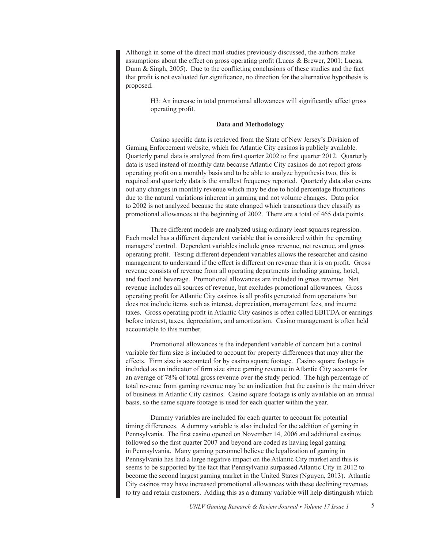Although in some of the direct mail studies previously discussed, the authors make assumptions about the effect on gross operating profit (Lucas & Brewer, 2001; Lucas, Dunn & Singh, 2005). Due to the conflicting conclusions of these studies and the fact that profit is not evaluated for significance, no direction for the alternative hypothesis is proposed.

> H3: An increase in total promotional allowances will significantly affect gross operating profit.

## **Data and Methodology**

Casino specific data is retrieved from the State of New Jersey's Division of Gaming Enforcement website, which for Atlantic City casinos is publicly available. Quarterly panel data is analyzed from first quarter 2002 to first quarter 2012. Quarterly data is used instead of monthly data because Atlantic City casinos do not report gross operating profit on a monthly basis and to be able to analyze hypothesis two, this is required and quarterly data is the smallest frequency reported. Quarterly data also evens out any changes in monthly revenue which may be due to hold percentage fluctuations due to the natural variations inherent in gaming and not volume changes. Data prior to 2002 is not analyzed because the state changed which transactions they classify as promotional allowances at the beginning of 2002. There are a total of 465 data points.

Three different models are analyzed using ordinary least squares regression. Each model has a different dependent variable that is considered within the operating managers' control. Dependent variables include gross revenue, net revenue, and gross operating profit. Testing different dependent variables allows the researcher and casino management to understand if the effect is different on revenue than it is on profit. Gross revenue consists of revenue from all operating departments including gaming, hotel, and food and beverage. Promotional allowances are included in gross revenue. Net revenue includes all sources of revenue, but excludes promotional allowances. Gross operating profit for Atlantic City casinos is all profits generated from operations but does not include items such as interest, depreciation, management fees, and income taxes. Gross operating profit in Atlantic City casinos is often called EBITDA or earnings before interest, taxes, depreciation, and amortization. Casino management is often held accountable to this number.

Promotional allowances is the independent variable of concern but a control variable for firm size is included to account for property differences that may alter the effects. Firm size is accounted for by casino square footage. Casino square footage is included as an indicator of firm size since gaming revenue in Atlantic City accounts for an average of 78% of total gross revenue over the study period. The high percentage of total revenue from gaming revenue may be an indication that the casino is the main driver of business in Atlantic City casinos. Casino square footage is only available on an annual basis, so the same square footage is used for each quarter within the year.

Dummy variables are included for each quarter to account for potential timing differences. A dummy variable is also included for the addition of gaming in Pennsylvania. The first casino opened on November 14, 2006 and additional casinos followed so the first quarter 2007 and beyond are coded as having legal gaming in Pennsylvania. Many gaming personnel believe the legalization of gaming in Pennsylvania has had a large negative impact on the Atlantic City market and this is seems to be supported by the fact that Pennsylvania surpassed Atlantic City in 2012 to become the second largest gaming market in the United States (Nguyen, 2013). Atlantic City casinos may have increased promotional allowances with these declining revenues to try and retain customers. Adding this as a dummy variable will help distinguish which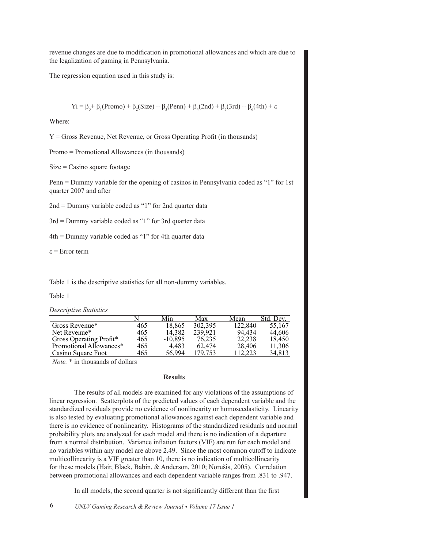revenue changes are due to modification in promotional allowances and which are due to the legalization of gaming in Pennsylvania.

The regression equation used in this study is:

$$
Yi = \beta_0 + \beta_1 (Promo) + \beta_2 (Size) + \beta_3 (Penn) + \beta_4 (2nd) + \beta_5 (3rd) + \beta_6 (4th) + \epsilon
$$

Where:

Y = Gross Revenue, Net Revenue, or Gross Operating Profit (in thousands)

Promo = Promotional Allowances (in thousands)

Size = Casino square footage

Penn = Dummy variable for the opening of casinos in Pennsylvania coded as "1" for 1st quarter 2007 and after

2nd = Dummy variable coded as "1" for 2nd quarter data

3rd = Dummy variable coded as "1" for 3rd quarter data

4th = Dummy variable coded as "1" for 4th quarter data

ε = Error term

Table 1 is the descriptive statistics for all non-dummy variables.

Table 1

*Descriptive Statistics*

|                         |     | Min       | Max     | Mean    | Std. Dev. |
|-------------------------|-----|-----------|---------|---------|-----------|
| Gross Revenue*          | 465 | 18,865    | 302,395 | 122,840 | 55,167    |
| Net Revenue*            | 465 | 14.382    | 239,921 | 94.434  | 44,606    |
| Gross Operating Profit* | 465 | $-10,895$ | 76,235  | 22,238  | 18,450    |
| Promotional Allowances* | 465 | 4.483     | 62.474  | 28,406  | 11,306    |
| Casino Square Foot      | 465 | 56.994    | 179.753 | 112.223 | 34,813    |

*Note.* \* in thousands of dollars

## **Results**

The results of all models are examined for any violations of the assumptions of linear regression. Scatterplots of the predicted values of each dependent variable and the standardized residuals provide no evidence of nonlinearity or homoscedasticity. Linearity is also tested by evaluating promotional allowances against each dependent variable and there is no evidence of nonlinearity. Histograms of the standardized residuals and normal probability plots are analyzed for each model and there is no indication of a departure from a normal distribution. Variance inflation factors (VIF) are run for each model and no variables within any model are above 2.49. Since the most common cutoff to indicate multicollinearity is a VIF greater than 10, there is no indication of multicollinearity for these models (Hair, Black, Babin, & Anderson, 2010; Norušis, 2005). Correlation between promotional allowances and each dependent variable ranges from .831 to .947.

In all models, the second quarter is not significantly different than the first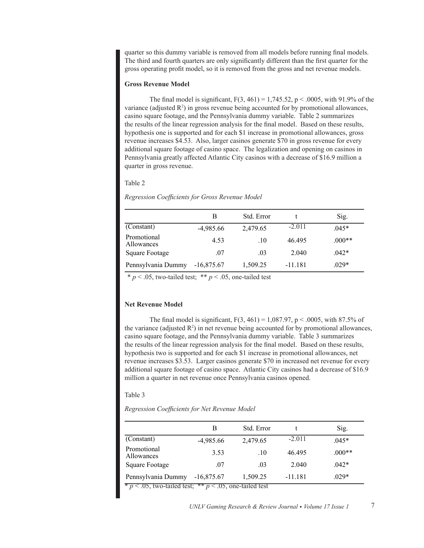quarter so this dummy variable is removed from all models before running final models. The third and fourth quarters are only significantly different than the first quarter for the gross operating profit model, so it is removed from the gross and net revenue models.

## **Gross Revenue Model**

The final model is significant,  $F(3, 461) = 1,745.52$ ,  $p < .0005$ , with 91.9% of the variance (adjusted  $R^2$ ) in gross revenue being accounted for by promotional allowances, casino square footage, and the Pennsylvania dummy variable. Table 2 summarizes the results of the linear regression analysis for the final model. Based on these results, hypothesis one is supported and for each \$1 increase in promotional allowances, gross revenue increases \$4.53. Also, larger casinos generate \$70 in gross revenue for every additional square footage of casino space. The legalization and opening on casinos in Pennsylvania greatly affected Atlantic City casinos with a decrease of \$16.9 million a quarter in gross revenue.

## Table 2

|                           | В            | Std. Error |           | Sig.     |
|---------------------------|--------------|------------|-----------|----------|
| (Constant)                | $-4,985.66$  | 2,479.65   | $-2.011$  | $.045*$  |
| Promotional<br>Allowances | 4.53         | .10        | 46495     | $.000**$ |
| Square Footage            | .07          | .03        | 2 040     | $.042*$  |
| Pennsylvania Dummy        | $-16,875.67$ | 1,509.25   | $-11.181$ | $.029*$  |

*Regression Coefficients for Gross Revenue Model*

 $* p < .05$ , two-tailed test;  $* p < .05$ , one-tailed test

#### **Net Revenue Model**

The final model is significant,  $F(3, 461) = 1,087.97$ ,  $p < .0005$ , with 87.5% of the variance (adjusted  $R^2$ ) in net revenue being accounted for by promotional allowances, casino square footage, and the Pennsylvania dummy variable. Table 3 summarizes the results of the linear regression analysis for the final model. Based on these results, hypothesis two is supported and for each \$1 increase in promotional allowances, net revenue increases \$3.53. Larger casinos generate \$70 in increased net revenue for every additional square footage of casino space. Atlantic City casinos had a decrease of \$16.9 million a quarter in net revenue once Pennsylvania casinos opened.

#### Table 3

*Regression Coefficients for Net Revenue Model*

|                                                                         | В            | Std. Error |           | Sig.     |
|-------------------------------------------------------------------------|--------------|------------|-----------|----------|
| (Constant)                                                              | $-4,985.66$  | 2,479.65   | $-2.011$  | $.045*$  |
| Promotional<br>Allowances                                               | 3.53         | .10        | 46.495    | $.000**$ |
| Square Footage                                                          | .07          | .03        | 2 040     | $.042*$  |
| Pennsylvania Dummy<br>$x \sim \Delta r$ is the set of $x \sim \Delta r$ | $-16,875.67$ | 1,509.25   | $-11.181$ | $.029*$  |

 $<$  0.05, two-tailed test;  $* p < 0.05$ , one-tailed test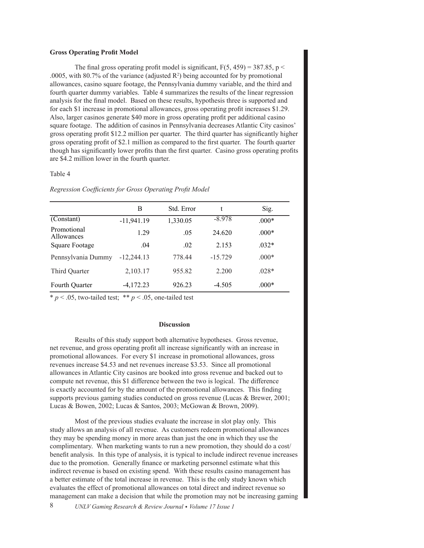#### **Gross Operating Profit Model**

The final gross operating profit model is significant,  $F(5, 459) = 387.85$ , p < .0005, with 80.7% of the variance (adjusted  $R^2$ ) being accounted for by promotional allowances, casino square footage, the Pennsylvania dummy variable, and the third and fourth quarter dummy variables. Table 4 summarizes the results of the linear regression analysis for the final model. Based on these results, hypothesis three is supported and for each \$1 increase in promotional allowances, gross operating profit increases \$1.29. Also, larger casinos generate \$40 more in gross operating profit per additional casino square footage. The addition of casinos in Pennsylvania decreases Atlantic City casinos' gross operating profit \$12.2 million per quarter. The third quarter has significantly higher gross operating profit of \$2.1 million as compared to the first quarter. The fourth quarter though has significantly lower profits than the first quarter. Casino gross operating profits are \$4.2 million lower in the fourth quarter.

#### Table 4

|                           | B            | Std. Error | t         | Sig.    |
|---------------------------|--------------|------------|-----------|---------|
| (Constant)                | $-11,941.19$ | 1,330.05   | $-8.978$  | $.000*$ |
| Promotional<br>Allowances | 1.29         | .05        | 24.620    | $.000*$ |
| Square Footage            | .04          | .02        | 2.153     | $.032*$ |
| Pennsylvania Dummy        | $-12.244.13$ | 778.44     | $-15.729$ | $.000*$ |
| Third Quarter             | 2,103.17     | 955.82     | 2.200     | $.028*$ |
| Fourth Quarter            | $-4,172.23$  | 926.23     | $-4.505$  | $.000*$ |

*Regression Coefficients for Gross Operating Profit Model*

 $* p < .05$ , two-tailed test;  $* p < .05$ , one-tailed test

#### **Discussion**

Results of this study support both alternative hypotheses. Gross revenue, net revenue, and gross operating profit all increase significantly with an increase in promotional allowances. For every \$1 increase in promotional allowances, gross revenues increase \$4.53 and net revenues increase \$3.53. Since all promotional allowances in Atlantic City casinos are booked into gross revenue and backed out to compute net revenue, this \$1 difference between the two is logical. The difference is exactly accounted for by the amount of the promotional allowances. This finding supports previous gaming studies conducted on gross revenue (Lucas & Brewer, 2001; Lucas & Bowen, 2002; Lucas & Santos, 2003; McGowan & Brown, 2009).

Most of the previous studies evaluate the increase in slot play only. This study allows an analysis of all revenue. As customers redeem promotional allowances they may be spending money in more areas than just the one in which they use the complimentary. When marketing wants to run a new promotion, they should do a cost/ benefit analysis. In this type of analysis, it is typical to include indirect revenue increases due to the promotion. Generally finance or marketing personnel estimate what this indirect revenue is based on existing spend. With these results casino management has a better estimate of the total increase in revenue. This is the only study known which evaluates the effect of promotional allowances on total direct and indirect revenue so management can make a decision that while the promotion may not be increasing gaming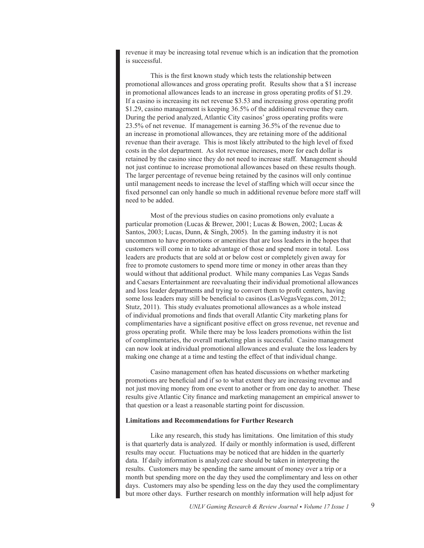revenue it may be increasing total revenue which is an indication that the promotion is successful.

This is the first known study which tests the relationship between promotional allowances and gross operating profit. Results show that a \$1 increase in promotional allowances leads to an increase in gross operating profits of \$1.29. If a casino is increasing its net revenue \$3.53 and increasing gross operating profit \$1.29, casino management is keeping 36.5% of the additional revenue they earn. During the period analyzed, Atlantic City casinos' gross operating profits were 23.5% of net revenue. If management is earning 36.5% of the revenue due to an increase in promotional allowances, they are retaining more of the additional revenue than their average. This is most likely attributed to the high level of fixed costs in the slot department. As slot revenue increases, more for each dollar is retained by the casino since they do not need to increase staff. Management should not just continue to increase promotional allowances based on these results though. The larger percentage of revenue being retained by the casinos will only continue until management needs to increase the level of staffing which will occur since the fixed personnel can only handle so much in additional revenue before more staff will need to be added.

Most of the previous studies on casino promotions only evaluate a particular promotion (Lucas & Brewer, 2001; Lucas & Bowen, 2002; Lucas & Santos, 2003; Lucas, Dunn, & Singh, 2005). In the gaming industry it is not uncommon to have promotions or amenities that are loss leaders in the hopes that customers will come in to take advantage of those and spend more in total. Loss leaders are products that are sold at or below cost or completely given away for free to promote customers to spend more time or money in other areas than they would without that additional product. While many companies Las Vegas Sands and Caesars Entertainment are reevaluating their individual promotional allowances and loss leader departments and trying to convert them to profit centers, having some loss leaders may still be beneficial to casinos (LasVegasVegas.com, 2012; Stutz, 2011). This study evaluates promotional allowances as a whole instead of individual promotions and finds that overall Atlantic City marketing plans for complimentaries have a significant positive effect on gross revenue, net revenue and gross operating profit. While there may be loss leaders promotions within the list of complimentaries, the overall marketing plan is successful. Casino management can now look at individual promotional allowances and evaluate the loss leaders by making one change at a time and testing the effect of that individual change.

Casino management often has heated discussions on whether marketing promotions are beneficial and if so to what extent they are increasing revenue and not just moving money from one event to another or from one day to another. These results give Atlantic City finance and marketing management an empirical answer to that question or a least a reasonable starting point for discussion.

## **Limitations and Recommendations for Further Research**

Like any research, this study has limitations. One limitation of this study is that quarterly data is analyzed. If daily or monthly information is used, different results may occur. Fluctuations may be noticed that are hidden in the quarterly data. If daily information is analyzed care should be taken in interpreting the results. Customers may be spending the same amount of money over a trip or a month but spending more on the day they used the complimentary and less on other days. Customers may also be spending less on the day they used the complimentary but more other days. Further research on monthly information will help adjust for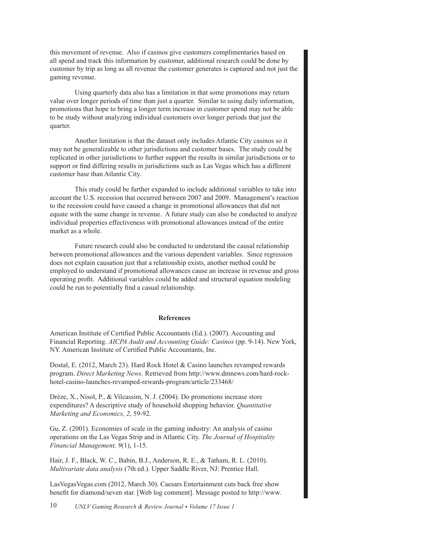this movement of revenue. Also if casinos give customers complimentaries based on all spend and track this information by customer, additional research could be done by customer by trip as long as all revenue the customer generates is captured and not just the gaming revenue.

Using quarterly data also has a limitation in that some promotions may return value over longer periods of time than just a quarter. Similar to using daily information, promotions that hope to bring a longer term increase in customer spend may not be able to be study without analyzing individual customers over longer periods that just the quarter.

Another limitation is that the dataset only includes Atlantic City casinos so it may not be generalizable to other jurisdictions and customer bases. The study could be replicated in other jurisdictions to further support the results in similar jurisdictions or to support or find differing results in jurisdictions such as Las Vegas which has a different customer base than Atlantic City.

This study could be further expanded to include additional variables to take into account the U.S. recession that occurred between 2007 and 2009. Management's reaction to the recession could have caused a change in promotional allowances that did not equate with the same change in revenue. A future study can also be conducted to analyze individual properties effectiveness with promotional allowances instead of the entire market as a whole.

Future research could also be conducted to understand the causal relationship between promotional allowances and the various dependent variables. Since regression does not explain causation just that a relationship exists, another method could be employed to understand if promotional allowances cause an increase in revenue and gross operating profit. Additional variables could be added and structural equation modeling could be run to potentially find a casual relationship.

### **References**

American Institute of Certified Public Accountants (Ed.). (2007). Accounting and Financial Reporting. *AICPA Audit and Accounting Guide: Casinos* (pp. 9-14). New York, NY. American Institute of Certified Public Accountants, Inc.

Dostal, E. (2012, March 23). Hard Rock Hotel & Casino launches revamped rewards program. *Direct Marketing News.* Retrieved from http://www.dmnews.com/hard-rockhotel-casino-launches-revamped-rewards-program/article/233468/

Drèze, X., Nisol, P., & Vilcassim, N. J. (2004). Do promotions increase store expenditures? A descriptive study of household shopping behavior. *Quantitative Marketing and Economics, 2*, 59-92.

Gu, Z. (2001). Economies of scale in the gaming industry: An analysis of casino operations on the Las Vegas Strip and in Atlantic City. *The Journal of Hospitality Financial Management, 9*(1), 1-15.

Hair, J. F., Black, W. C., Babin, B.J., Anderson, R. E., & Tatham, R. L. (2010). *Multivariate data analysis* (7th ed.). Upper Saddle River, NJ: Prentice Hall.

LasVegasVegas.com (2012, March 30). Caesars Entertainment cuts back free show benefit for diamond/seven star. [Web log comment]. Message posted to http://www.

10 *UNLV Gaming Research & Review Journal • Volume 17 Issue 1*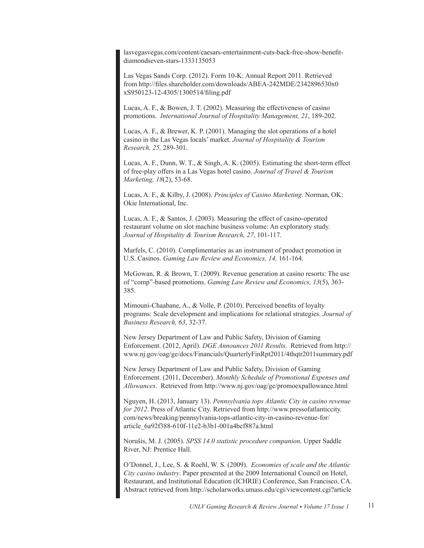lasvegasvegas.com/content/caesars-entertainment-cuts-back-free-show-benefitdiamondseven-stars-1333135053

Las Vegas Sands Corp. (2012). Form 10-K: Annual Report 2011. Retrieved from http://files.shareholder.com/downloads/ABEA-242MDE/2342896530x0 xS950123-12-4305/1300514/filing.pdf

Lucas, A. F., & Bowen, J. T. (2002). Measuring the effectiveness of casino promotions. *International Journal of Hospitality Management, 21*, 189-202.

Lucas, A. F., & Brewer, K. P. (2001). Managing the slot operations of a hotel casino in the Las Vegas locals' market. *Journal of Hospitality & Tourism Research, 25,* 289-301.

Lucas, A. F., Dunn, W. T., & Singh, A. K. (2005). Estimating the short-term effect of free-play offers in a Las Vegas hotel casino. *Journal of Travel & Tourism Marketing, 18*(2), 53-68.

Lucas, A. F., & Kilby, J. (2008). *Principles of Casino Marketing*. Norman, OK: Okie International, Inc.

Lucas, A. F., & Santos, J. (2003). Measuring the effect of casino-operated restaurant volume on slot machine business volume: An exploratory study. *Journal of Hospitality & Tourism Research, 27*, 101-117.

Marfels, C. (2010). Complimentaries as an instrument of product promotion in U.S. Casinos. *Gaming Law Review and Economics, 14,* 161-164.

McGowan, R. & Brown, T. (2009). Revenue generation at casino resorts: The use of "comp"-based promotions. *Gaming Law Review and Economics, 13*(5), 363- 385.

Mimouni-Chaabane, A., & Volle, P. (2010). Perceived benefits of loyalty programs: Scale development and implications for relational strategies. *Journal of Business Research, 63*, 32-37.

New Jersey Department of Law and Public Safety, Division of Gaming Enforcement. (2012, April). *DGE Announces 2011 Results*. Retrieved from http:// www.nj.gov/oag/ge/docs/Financials/QuarterlyFinRpt2011/4thqtr2011summary.pdf

New Jersey Department of Law and Public Safety, Division of Gaming Enforcement. (2011, December). *Monthly Schedule of Promotional Expenses and Allowances*. Retrieved from http://www.nj.gov/oag/ge/promoexpallowance.html

Nguyen, H. (2013, January 13). *Pennsylvania tops Atlantic City in casino revenue for 2012*. Press of Atlantic City. Retrieved from http://www.pressofatlanticcity. com/news/breaking/pennsylvania-tops-atlantic-city-in-casino-revenue-for/ article\_6a92f388-610f-11e2-b3b1-001a4bcf887a.html

Norušis, M. J. (2005). *SPSS 14.0 statistic procedure companion*. Upper Saddle River, NJ: Prentice Hall.

O'Donnel, J., Lee, S. & Roehl, W. S. (2009). *Economies of scale and the Atlantic City casino industry*. Paper presented at the 2009 International Council on Hotel, Restaurant, and Institutional Education (ICHRIE) Conference, San Francisco, CA. Abstract retrieved from http://scholarworks.umass.edu/cgi/viewcontent.cgi?article